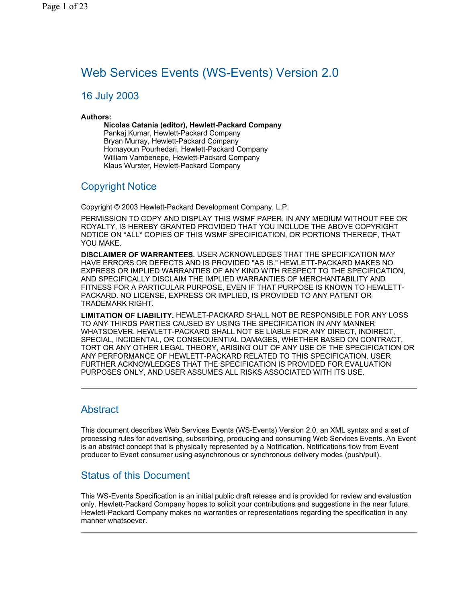# Web Services Events (WS-Events) Version 2.0

## 16 July 2003

### **Authors:**

**Nicolas Catania (editor), Hewlett-Packard Company** Pankaj Kumar, Hewlett-Packard Company Bryan Murray, Hewlett-Packard Company Homayoun Pourhedari, Hewlett-Packard Company William Vambenepe, Hewlett-Packard Company Klaus Wurster, Hewlett-Packard Company

## Copyright Notice

Copyright © 2003 Hewlett-Packard Development Company, L.P.

PERMISSION TO COPY AND DISPLAY THIS WSMF PAPER, IN ANY MEDIUM WITHOUT FEE OR ROYALTY, IS HEREBY GRANTED PROVIDED THAT YOU INCLUDE THE ABOVE COPYRIGHT NOTICE ON \*ALL\* COPIES OF THIS WSMF SPECIFICATION, OR PORTIONS THEREOF, THAT YOU MAKE.

**DISCLAIMER OF WARRANTEES.** USER ACKNOWLEDGES THAT THE SPECIFICATION MAY HAVE ERRORS OR DEFECTS AND IS PROVIDED "AS IS." HEWLETT-PACKARD MAKES NO EXPRESS OR IMPLIED WARRANTIES OF ANY KIND WITH RESPECT TO THE SPECIFICATION, AND SPECIFICALLY DISCLAIM THE IMPLIED WARRANTIES OF MERCHANTABILITY AND FITNESS FOR A PARTICULAR PURPOSE, EVEN IF THAT PURPOSE IS KNOWN TO HEWLETT-PACKARD. NO LICENSE, EXPRESS OR IMPLIED, IS PROVIDED TO ANY PATENT OR TRADEMARK RIGHT.

**LIMITATION OF LIABILITY.** HEWLET-PACKARD SHALL NOT BE RESPONSIBLE FOR ANY LOSS TO ANY THIRDS PARTIES CAUSED BY USING THE SPECIFICATION IN ANY MANNER WHATSOEVER. HEWLETT-PACKARD SHALL NOT BE LIABLE FOR ANY DIRECT, INDIRECT, SPECIAL, INCIDENTAL, OR CONSEQUENTIAL DAMAGES, WHETHER BASED ON CONTRACT, TORT OR ANY OTHER LEGAL THEORY, ARISING OUT OF ANY USE OF THE SPECIFICATION OR ANY PERFORMANCE OF HEWLETT-PACKARD RELATED TO THIS SPECIFICATION. USER FURTHER ACKNOWLEDGES THAT THE SPECIFICATION IS PROVIDED FOR EVALUATION PURPOSES ONLY, AND USER ASSUMES ALL RISKS ASSOCIATED WITH ITS USE.

## Abstract

This document describes Web Services Events (WS-Events) Version 2.0, an XML syntax and a set of processing rules for advertising, subscribing, producing and consuming Web Services Events. An Event is an abstract concept that is physically represented by a Notification. Notifications flow from Event producer to Event consumer using asynchronous or synchronous delivery modes (push/pull).

## Status of this Document

This WS-Events Specification is an initial public draft release and is provided for review and evaluation only. Hewlett-Packard Company hopes to solicit your contributions and suggestions in the near future. Hewlett-Packard Company makes no warranties or representations regarding the specification in any manner whatsoever.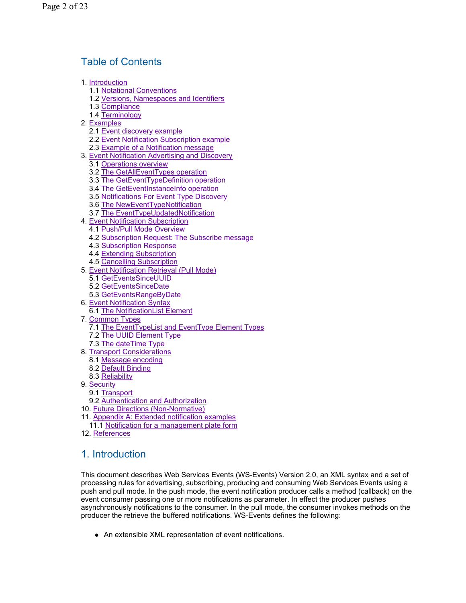## Table of Contents

- 1. Introduction
	- 1.1 Notational Conventions
	- 1.2 Versions, Namespaces and Identifiers
	- 1.3 Compliance
	- 1.4 Terminology
- 2. Examples
	- 2.1 Event discovery example
	- 2.2 Event Notification Subscription example
	- 2.3 Example of a Notification message
- 3. Event Notification Advertising and Discovery
	- 3.1 Operations overview
	- 3.2 The GetAllEventTypes operation
	- 3.3 The GetEventTypeDefinition operation
	- 3.4 The GetEventInstanceInfo operation
	- 3.5 Notifications For Event Type Discovery
	- 3.6 The NewEventTypeNotification
	- 3.7 The EventTypeUpdatedNotification
- 4. Event Notification Subscription
	- 4.1 Push/Pull Mode Overview
	- 4.2 Subscription Request: The Subscribe message
	- 4.3 Subscription Response
	- 4.4 Extending Subscription
	- 4.5 Cancelling Subscription
- 5. Event Notification Retrieval (Pull Mode)
	- 5.1 GetEventsSinceUUID
	- 5.2 GetEventsSinceDate
	- 5.3 GetEventsRangeByDate
- 6. Event Notification Syntax 6.1 The NotificationList Element
- 7. Common Types
	- 7.1 The EventTypeList and EventType Element Types
	- 7.2 The UUID Element Type
	- 7.3 The dateTime Type
- 8. Transport Considerations
	- 8.1 Message encoding
	- 8.2 Default Binding
- 8.3 Reliability
- 9. Security
	- 9.1 Transport
- 9.2 Authentication and Authorization
- 10. Future Directions (Non-Normative)
- 11. Appendix A: Extended notification examples
- 11.1 Notification for a management plate form
- 12. References

## 1. Introduction

This document describes Web Services Events (WS-Events) Version 2.0, an XML syntax and a set of processing rules for advertising, subscribing, producing and consuming Web Services Events using a push and pull mode. In the push mode, the event notification producer calls a method (callback) on the event consumer passing one or more notifications as parameter. In effect the producer pushes asynchronously notifications to the consumer. In the pull mode, the consumer invokes methods on the producer the retrieve the buffered notifications. WS-Events defines the following:

• An extensible XML representation of event notifications.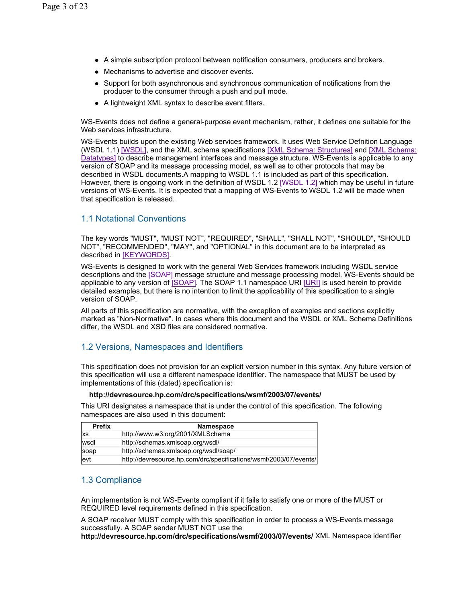- A simple subscription protocol between notification consumers, producers and brokers.
- Mechanisms to advertise and discover events.
- Support for both asynchronous and synchronous communication of notifications from the producer to the consumer through a push and pull mode.
- A lightweight XML syntax to describe event filters.

WS-Events does not define a general-purpose event mechanism, rather, it defines one suitable for the Web services infrastructure.

WS-Events builds upon the existing Web services framework. It uses Web Service Defnition Language (WSDL 1.1) [WSDL], and the XML schema specifications [XML Schema: Structures] and [XML Schema: Datatypes] to describe management interfaces and message structure. WS-Events is applicable to any version of SOAP and its message processing model, as well as to other protocols that may be described in WSDL documents.A mapping to WSDL 1.1 is included as part of this specification. However, there is ongoing work in the definition of WSDL 1.2 [WSDL 1.2] which may be useful in future versions of WS-Events. It is expected that a mapping of WS-Events to WSDL 1.2 will be made when that specification is released.

## 1.1 Notational Conventions

The key words "MUST", "MUST NOT", "REQUIRED", "SHALL", "SHALL NOT", "SHOULD", "SHOULD NOT", "RECOMMENDED", "MAY", and "OPTIONAL" in this document are to be interpreted as described in [KEYWORDS].

WS-Events is designed to work with the general Web Services framework including WSDL service descriptions and the [SOAP] message structure and message processing model. WS-Events should be applicable to any version of [SOAP]. The SOAP 1.1 namespace URI [URI] is used herein to provide detailed examples, but there is no intention to limit the applicability of this specification to a single version of SOAP.

All parts of this specification are normative, with the exception of examples and sections explicitly marked as "Non-Normative". In cases where this document and the WSDL or XML Schema Definitions differ, the WSDL and XSD files are considered normative.

## 1.2 Versions, Namespaces and Identifiers

This specification does not provision for an explicit version number in this syntax. Any future version of this specification will use a different namespace identifier. The namespace that MUST be used by implementations of this (dated) specification is:

#### **http://devresource.hp.com/drc/specifications/wsmf/2003/07/events/**

This URI designates a namespace that is under the control of this specification. The following namespaces are also used in this document:

| <b>Prefix</b> | Namespace                                                         |
|---------------|-------------------------------------------------------------------|
| <b>Ixs</b>    | http://www.w3.org/2001/XMLSchema                                  |
| wsdl          | http://schemas.xmlsoap.org/wsdl/                                  |
| soap          | http://schemas.xmlsoap.org/wsdl/soap/                             |
| evt           | http://devresource.hp.com/drc/specifications/wsmf/2003/07/events/ |

## 1.3 Compliance

An implementation is not WS-Events compliant if it fails to satisfy one or more of the MUST or REQUIRED level requirements defined in this specification.

A SOAP receiver MUST comply with this specification in order to process a WS-Events message successfully. A SOAP sender MUST NOT use the

**http://devresource.hp.com/drc/specifications/wsmf/2003/07/events/** XML Namespace identifier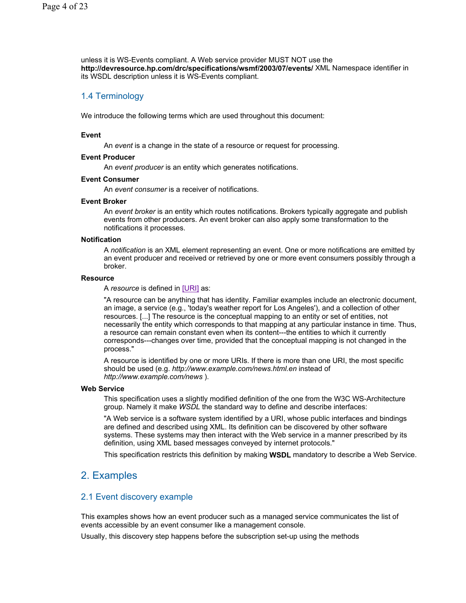unless it is WS-Events compliant. A Web service provider MUST NOT use the **http://devresource.hp.com/drc/specifications/wsmf/2003/07/events/** XML Namespace identifier in its WSDL description unless it is WS-Events compliant.

## 1.4 Terminology

We introduce the following terms which are used throughout this document:

### **Event**

An *event* is a change in the state of a resource or request for processing.

#### **Event Producer**

An *event producer* is an entity which generates notifications.

### **Event Consumer**

An *event consumer* is a receiver of notifications.

#### **Event Broker**

An *event broker* is an entity which routes notifications. Brokers typically aggregate and publish events from other producers. An event broker can also apply some transformation to the notifications it processes.

#### **Notification**

A *notification* is an XML element representing an event. One or more notifications are emitted by an event producer and received or retrieved by one or more event consumers possibly through a broker.

#### **Resource**

A *resource* is defined in [URI] as:

"A resource can be anything that has identity. Familiar examples include an electronic document, an image, a service (e.g., 'today's weather report for Los Angeles'), and a collection of other resources. [...] The resource is the conceptual mapping to an entity or set of entities, not necessarily the entity which corresponds to that mapping at any particular instance in time. Thus, a resource can remain constant even when its content---the entities to which it currently corresponds---changes over time, provided that the conceptual mapping is not changed in the process."

A resource is identified by one or more URIs. If there is more than one URI, the most specific should be used (e.g. *http://www.example.com/news.html.en* instead of *http://www.example.com/news* ).

### **Web Service**

This specification uses a slightly modified definition of the one from the W3C WS-Architecture group. Namely it make *WSDL* the standard way to define and describe interfaces:

"A Web service is a software system identified by a URI, whose public interfaces and bindings are defined and described using XML. Its definition can be discovered by other software systems. These systems may then interact with the Web service in a manner prescribed by its definition, using XML based messages conveyed by internet protocols."

This specification restricts this definition by making **WSDL** mandatory to describe a Web Service.

## 2. Examples

## 2.1 Event discovery example

This examples shows how an event producer such as a managed service communicates the list of events accessible by an event consumer like a management console.

Usually, this discovery step happens before the subscription set-up using the methods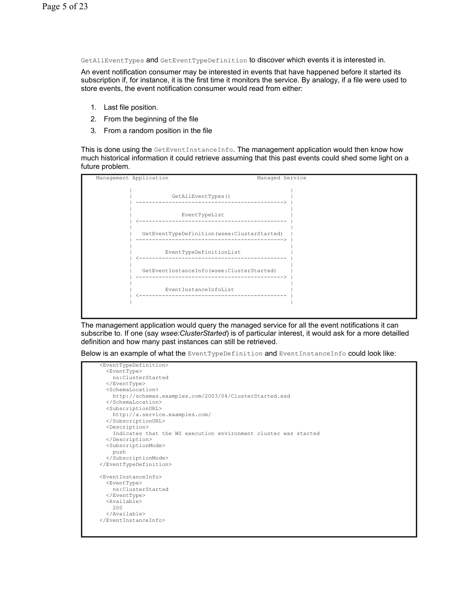GetAllEventTypes and GetEventTypeDefinition to discover which events it is interested in.

An event notification consumer may be interested in events that have happened before it started its subscription if, for instance, it is the first time it monitors the service. By analogy, if a file were used to store events, the event notification consumer would read from either:

- 1. Last file position.
- 2. From the beginning of the file
- 3. From a random position in the file

This is done using the GetEventInstanceInfo. The management application would then know how much historical information it could retrieve assuming that this past events could shed some light on a future problem.



The management application would query the managed service for all the event notifications it can subscribe to. If one (say *wsee:ClusterStarted*) is of particular interest, it would ask for a more detailled definition and how many past instances can still be retrieved.

Below is an example of what the EventTypeDefinition and EventInstanceInfo could look like:

```
 <EventTypeDefinition> 
   <EventType> 
     ns:ClusterStarted 
   </EventType> 
  <SchemaLocation> 
    http://schemas.examples.com/2003/04/ClusterStarted.xsd 
   </SchemaLocation> 
  <SubscriptionURL> 
     http://a.service.examples.com/ 
   </SubscriptionURL> 
  <Description> 
     Indicates that the WS execution environment cluster was started 
   </Description> 
  <SubscriptionMode> 
    push 
   </SubscriptionMode> 
 </EventTypeDefinition> 
 <EventInstanceInfo> 
  <EventType> 
    ns:ClusterStarted 
   </EventType> 
  <Available> 
     200 
  </Available> 
 </EventInstanceInfo>
```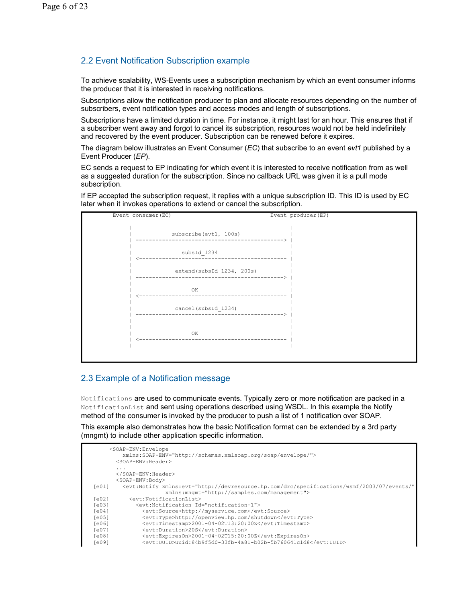## 2.2 Event Notification Subscription example

To achieve scalability, WS-Events uses a subscription mechanism by which an event consumer informs the producer that it is interested in receiving notifications.

Subscriptions allow the notification producer to plan and allocate resources depending on the number of subscribers, event notification types and access modes and length of subscriptions.

Subscriptions have a limited duration in time. For instance, it might last for an hour. This ensures that if a subscriber went away and forgot to cancel its subscription, resources would not be held indefinitely and recovered by the event producer. Subscription can be renewed before it expires.

The diagram below illustrates an Event Consumer (*EC*) that subscribe to an event *evt1* published by a Event Producer (*EP*).

EC sends a request to EP indicating for which event it is interested to receive notification from as well as a suggested duration for the subscription. Since no callback URL was given it is a pull mode subscription.

If EP accepted the subscription request, it replies with a unique subscription ID. This ID is used by EC later when it invokes operations to extend or cancel the subscription.



## 2.3 Example of a Notification message

Notifications are used to communicate events. Typically zero or more notification are packed in a NotificationList and sent using operations described using WSDL. In this example the Notify method of the consumer is invoked by the producer to push a list of 1 notification over SOAP.

This example also demonstrates how the basic Notification format can be extended by a 3rd party (mngmt) to include other application specific information.

|                   | <soap-env:envelope<br>xmlns:SOAP-ENV="http://schemas.xmlsoap.org/soap/envelope/"&gt;</soap-env:envelope<br>        |
|-------------------|--------------------------------------------------------------------------------------------------------------------|
|                   | <soap-env:header></soap-env:header>                                                                                |
|                   | .                                                                                                                  |
|                   | $\langle$ /SOAP-ENV:Header>                                                                                        |
|                   | <soap-env:body></soap-env:body>                                                                                    |
| Fe011             | <evt:notify <="" td="" xmlns:evt="http://devresource.hp.com/drc/specifications/wsmf/2003/07/events/"></evt:notify> |
|                   | xmlns: mngmt="http://samples.com/management">                                                                      |
| [e02]             | <evt:notificationlist></evt:notificationlist>                                                                      |
| Fe <sub>031</sub> | <evt:notification id="notification-1"></evt:notification>                                                          |
| [e04]             | <evt:source>http://myservice.com</evt:source>                                                                      |
| [e05]             | <evt:type>http://openview.hp.com/shutdown</evt:type>                                                               |
| [e06]             | <evt:timestamp>2001-04-02T13:20:00Z</evt:timestamp>                                                                |
| [e07]             | <evt:duration>20S</evt:duration>                                                                                   |
| [e08]             | <evt:expireson>2001-04-02T15:20:00Z</evt:expireson>                                                                |
| [e09]             | <evt:uuid>uuid:84b9f5d0-33fb-4a81-b02b-5b760641c1d8</evt:uuid>                                                     |
|                   |                                                                                                                    |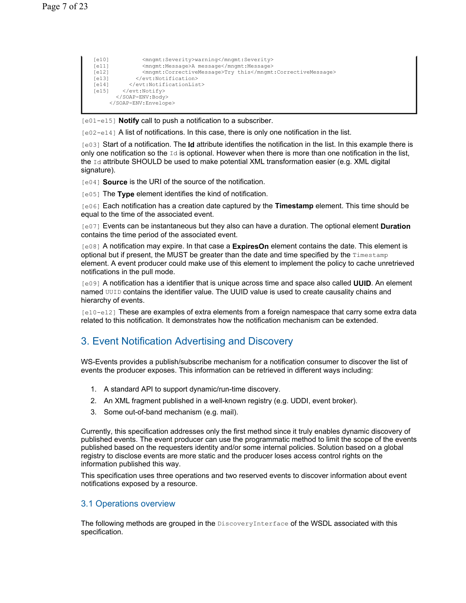```
[e10] <mngmt:Severity>warning</mngmt:Severity> 
[e11] <mngmt:Message>A message</mngmt:Message> 
[e12] <mngmt:CorrectiveMessage>Try this</mngmt:CorrectiveMessage> 
[e13] </evt:Notification><br>[e14] </evt:NotificationLis
[e14] </evt:NotificationList><br>
[e15] </evt:Notify>
        </evt:Notify>
        </SOAP-ENV:Body> 
      </SOAP-ENV:Envelope>
```
[e01-e15] **Notify** call to push a notification to a subscriber.

 $[0.2 - 0.14]$  A list of notifications. In this case, there is only one notification in the list.

[e03] Start of a notification. The **Id** attribute identifies the notification in the list. In this example there is only one notification so the  $Id$  is optional. However when there is more than one notification in the list, the  $Id$  attribute SHOULD be used to make potential XML transformation easier (e.g. XML digital signature).

[e04] **Source** is the URI of the source of the notification.

[e05] The **Type** element identifies the kind of notification.

[e06] Each notification has a creation date captured by the **Timestamp** element. This time should be equal to the time of the associated event.

[e07] Events can be instantaneous but they also can have a duration. The optional element **Duration** contains the time period of the associated event.

[e08] A notification may expire. In that case a **ExpiresOn** element contains the date. This element is optional but if present, the MUST be greater than the date and time specified by the  $T$ imestamp element. A event producer could make use of this element to implement the policy to cache unretrieved notifications in the pull mode.

[e09] A notification has a identifier that is unique across time and space also called **UUID**. An element named UUID contains the identifier value. The UUID value is used to create causality chains and hierarchy of events.

[e10-e12] These are examples of extra elements from a foreign namespace that carry some extra data related to this notification. It demonstrates how the notification mechanism can be extended.

## 3. Event Notification Advertising and Discovery

WS-Events provides a publish/subscribe mechanism for a notification consumer to discover the list of events the producer exposes. This information can be retrieved in different ways including:

- 1. A standard API to support dynamic/run-time discovery.
- 2. An XML fragment published in a well-known registry (e.g. UDDI, event broker).
- 3. Some out-of-band mechanism (e.g. mail).

Currently, this specification addresses only the first method since it truly enables dynamic discovery of published events. The event producer can use the programmatic method to limit the scope of the events published based on the requesters identity and/or some internal policies. Solution based on a global registry to disclose events are more static and the producer loses access control rights on the information published this way.

This specification uses three operations and two reserved events to discover information about event notifications exposed by a resource.

## 3.1 Operations overview

The following methods are grouped in the DiscoveryInterface of the WSDL associated with this specification.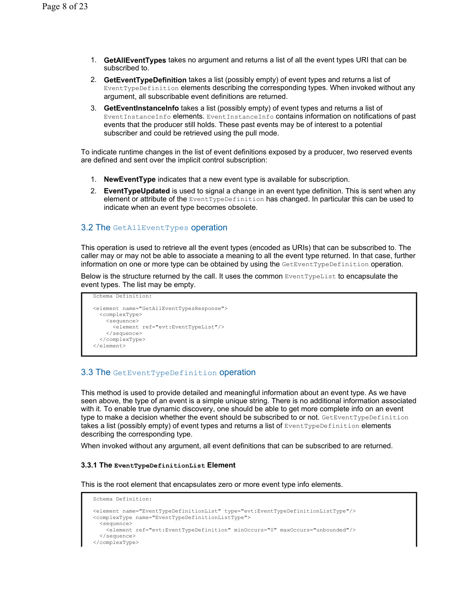- 1. **GetAllEventTypes** takes no argument and returns a list of all the event types URI that can be subscribed to.
- 2. **GetEventTypeDefinition** takes a list (possibly empty) of event types and returns a list of EventTypeDefinition elements describing the corresponding types. When invoked without any argument, all subscribable event definitions are returned.
- 3. **GetEventInstanceInfo** takes a list (possibly empty) of event types and returns a list of EventInstanceInfo elements. EventInstanceInfo contains information on notifications of past events that the producer still holds. These past events may be of interest to a potential subscriber and could be retrieved using the pull mode.

To indicate runtime changes in the list of event definitions exposed by a producer, two reserved events are defined and sent over the implicit control subscription:

- 1. **NewEventType** indicates that a new event type is available for subscription.
- 2. **EventTypeUpdated** is used to signal a change in an event type definition. This is sent when any element or attribute of the EventTypeDefinition has changed. In particular this can be used to indicate when an event type becomes obsolete.

### 3.2 The GetAllEventTypes operation

This operation is used to retrieve all the event types (encoded as URIs) that can be subscribed to. The caller may or may not be able to associate a meaning to all the event type returned. In that case, further information on one or more type can be obtained by using the GetEventTypeDefinition operation.

Below is the structure returned by the call. It uses the common EventTypeList to encapsulate the event types. The list may be empty.

```
<element name="GetAllEventTypesResponse"> 
   <complexType> 
     <sequence> 
       <element ref="evt:EventTypeList"/> 
     </sequence> 
   </complexType> 
</element>
```
Schema Definition:

## 3.3 The GetEventTypeDefinition operation

This method is used to provide detailed and meaningful information about an event type. As we have seen above, the type of an event is a simple unique string. There is no additional information associated with it. To enable true dynamic discovery, one should be able to get more complete info on an event type to make a decision whether the event should be subscribed to or not. GetEventTypeDefinition takes a list (possibly empty) of event types and returns a list of  $\text{EventTypeDefinition}$  elements describing the corresponding type.

When invoked without any argument, all event definitions that can be subscribed to are returned.

#### **3.3.1 The EventTypeDefinitionList Element**

This is the root element that encapsulates zero or more event type info elements.

```
Schema Definition: 
<element name="EventTypeDefinitionList" type="evt:EventTypeDefinitionListType"/> 
<complexType name="EventTypeDefinitionListType"> 
   <sequence> 
    <element ref="evt:EventTypeDefinition" minOccurs="0" maxOccurs="unbounded"/> 
   </sequence> 
</complexType>
```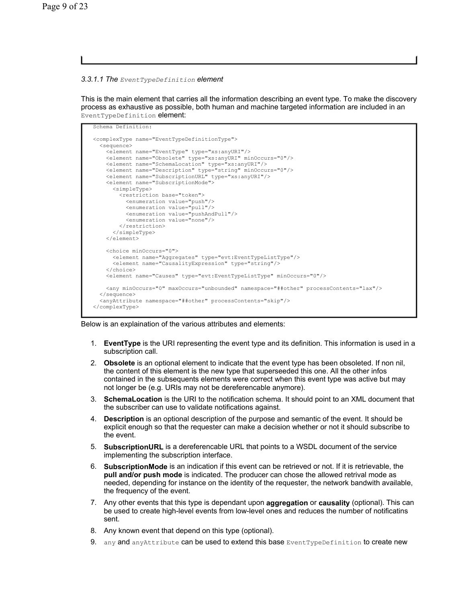#### *3.3.1.1 The EventTypeDefinition element*

This is the main element that carries all the information describing an event type. To make the discovery process as exhaustive as possible, both human and machine targeted information are included in an EventTypeDefinition element:



#### Below is an explaination of the various attributes and elements:

- 1. **EventType** is the URI representing the event type and its definition. This information is used in a subscription call.
- 2. **Obsolete** is an optional element to indicate that the event type has been obsoleted. If non nil, the content of this element is the new type that superseeded this one. All the other infos contained in the subsequents elements were correct when this event type was active but may not longer be (e.g. URIs may not be dereferencable anymore).
- 3. **SchemaLocation** is the URI to the notification schema. It should point to an XML document that the subscriber can use to validate notifications against.
- 4. **Description** is an optional description of the purpose and semantic of the event. It should be explicit enough so that the requester can make a decision whether or not it should subscribe to the event.
- 5. **SubscriptionURL** is a dereferencable URL that points to a WSDL document of the service implementing the subscription interface.
- 6. **SubscriptionMode** is an indication if this event can be retrieved or not. If it is retrievable, the **pull and/or push mode** is indicated. The producer can chose the allowed retrival mode as needed, depending for instance on the identity of the requester, the network bandwith available, the frequency of the event.
- 7. Any other events that this type is dependant upon **aggregation** or **causality** (optional). This can be used to create high-level events from low-level ones and reduces the number of notificatins sent.
- 8. Any known event that depend on this type (optional).
- 9. any and any Attribute can be used to extend this base EventTypeDefinition to create new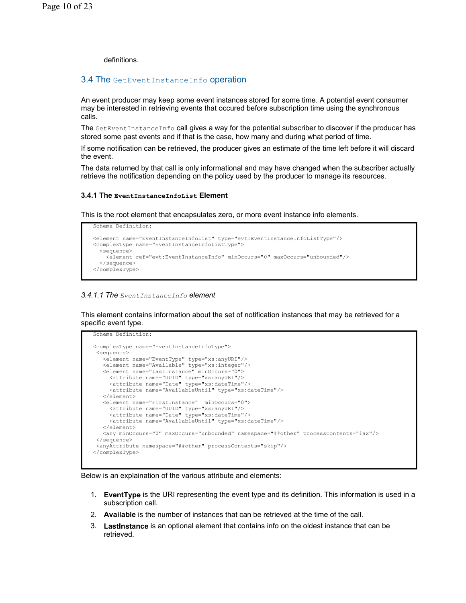definitions.

Schema Definition:

Schema Definition:

### 3.4 The GetEventInstanceInfo operation

An event producer may keep some event instances stored for some time. A potential event consumer may be interested in retrieving events that occured before subscription time using the synchronous calls.

The GetEventInstanceInfo call gives a way for the potential subscriber to discover if the producer has stored some past events and if that is the case, how many and during what period of time.

If some notification can be retrieved, the producer gives an estimate of the time left before it will discard the event.

The data returned by that call is only informational and may have changed when the subscriber actually retrieve the notification depending on the policy used by the producer to manage its resources.

#### **3.4.1 The EventInstanceInfoList Element**

This is the root element that encapsulates zero, or more event instance info elements.

```
<element name="EventInstanceInfoList" type="evt:EventInstanceInfoListType"/> 
<complexType name="EventInstanceInfoListType"> 
   <sequence> 
     <element ref="evt:EventInstanceInfo" minOccurs="0" maxOccurs="unbounded"/> 
   </sequence> 
</complexType>
```
#### *3.4.1.1 The EventInstanceInfo element*

This element contains information about the set of notification instances that may be retrieved for a specific event type.

```
<complexType name="EventInstanceInfoType"> 
 <sequence> 
   <element name="EventType" type="xs:anyURI"/> 
    <element name="Available" type="xs:integer"/> 
   <element name="LastInstance" minOccurs="0"> 
      <attribute name="UUID" type="xs:anyURI"/> 
     <attribute name="Date" type="xs:dateTime"/> 
      <attribute name="AvailableUntil" type="xs:dateTime"/> 
   </element> 
   <element name="FirstInstance" minOccurs="0"> 
 <attribute name="UUID" type="xs:anyURI"/> 
 <attribute name="Date" type="xs:dateTime"/> 
 <attribute name="AvailableUntil" type="xs:dateTime"/> 
   </element> 
   <any minOccurs="0" maxOccurs="unbounded" namespace="##other" processContents="lax"/> 
 </sequence> 
  <anyAttribute namespace="##other" processContents="skip"/> 
</complexType>
```
#### Below is an explaination of the various attribute and elements:

- 1. **EventType** is the URI representing the event type and its definition. This information is used in a subscription call.
- 2. **Available** is the number of instances that can be retrieved at the time of the call.
- 3. **LastInstance** is an optional element that contains info on the oldest instance that can be retrieved.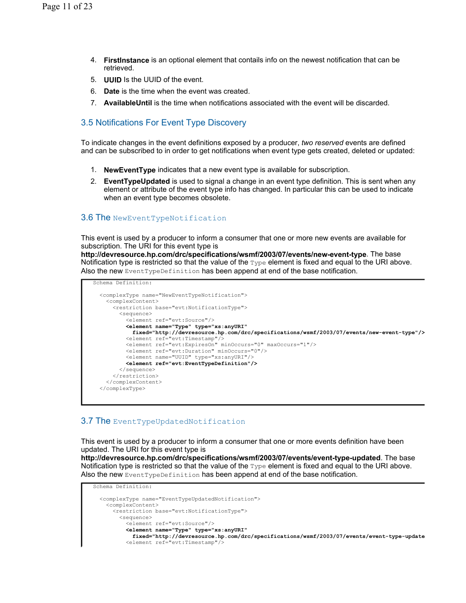- 4. **FirstInstance** is an optional element that contails info on the newest notification that can be retrieved.
- 5. **UUID** Is the UUID of the event.
- 6. **Date** is the time when the event was created.
- 7. **AvailableUntil** is the time when notifications associated with the event will be discarded.

## 3.5 Notifications For Event Type Discovery

To indicate changes in the event definitions exposed by a producer, *two reserved* events are defined and can be subscribed to in order to get notifications when event type gets created, deleted or updated:

- 1. **NewEventType** indicates that a new event type is available for subscription.
- 2. **EventTypeUpdated** is used to signal a change in an event type definition. This is sent when any element or attribute of the event type info has changed. In particular this can be used to indicate when an event type becomes obsolete.

## 3.6 The NewEventTypeNotification

This event is used by a producer to inform a consumer that one or more new events are available for subscription. The URI for this event type is

**http://devresource.hp.com/drc/specifications/wsmf/2003/07/events/new-event-type**. The base Notification type is restricted so that the value of the Type element is fixed and equal to the URI above. Also the new EventTypeDefinition has been append at end of the base notification.

```
Schema Definition: 
   <complexType name="NewEventTypeNotification"> 
    <complexContent> 
      <restriction base="evt:NotificationType"> 
         <sequence> 
          <element ref="evt:Source"/> 
          <element name="Type" type="xs:anyURI" 
            fixed="http://devresource.hp.com/drc/specifications/wsmf/2003/07/events/new-event-type"/>
 <element ref="evt:Timestamp"/> 
 <element ref="evt:ExpiresOn" minOccurs="0" maxOccurs="1"/> 
          <element ref="evt:Duration" minOccurs="0"/> 
          <element name="UUID" type="xs:anyURI"/> 
           <element ref="evt:EventTypeDefinition"/>
        </sequence> 
      </restriction> 
     </complexContent> 
  </complexType>
```
## **3.7 The EventTypeUpdatedNotification**

This event is used by a producer to inform a consumer that one or more events definition have been updated. The URI for this event type is **http://devresource.hp.com/drc/specifications/wsmf/2003/07/events/event-type-updated**. The base Notification type is restricted so that the value of the  $Type$  element is fixed and equal to the URI above. Also the new EventTypeDefinition has been append at end of the base notification.

```
Schema Definition: 
   <complexType name="EventTypeUpdatedNotification"> 
    <complexContent> 
       <restriction base="evt:NotificationType"> 
        <sequence> 
          <element ref="evt:Source"/> 
          <element name="Type" type="xs:anyURI" 
            fixed="http://devresource.hp.com/drc/specifications/wsmf/2003/07/events/event-type-update
           <element ref="evt:Timestamp"/>
```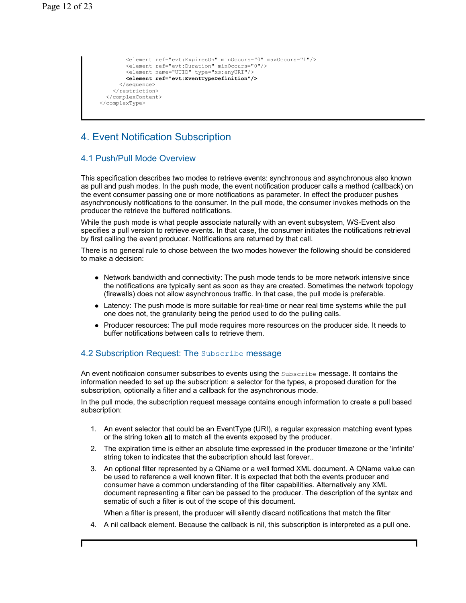```
 <element ref="evt:ExpiresOn" minOccurs="0" maxOccurs="1"/> 
         <element ref="evt:Duration" minOccurs="0"/> 
         <element name="UUID" type="xs:anyURI"/> 
         <element ref="evt:EventTypeDefinition"/>
       </sequence> 
    </restriction>
  </complexContent> 
 </complexType>
```
## 4. Event Notification Subscription

## 4.1 Push/Pull Mode Overview

This specification describes two modes to retrieve events: synchronous and asynchronous also known as pull and push modes. In the push mode, the event notification producer calls a method (callback) on the event consumer passing one or more notifications as parameter. In effect the producer pushes asynchronously notifications to the consumer. In the pull mode, the consumer invokes methods on the producer the retrieve the buffered notifications.

While the push mode is what people associate naturally with an event subsystem, WS-Event also specifies a pull version to retrieve events. In that case, the consumer initiates the notifications retrieval by first calling the event producer. Notifications are returned by that call.

There is no general rule to chose between the two modes however the following should be considered to make a decision:

- Network bandwidth and connectivity: The push mode tends to be more network intensive since the notifications are typically sent as soon as they are created. Sometimes the network topology (firewalls) does not allow asynchronous traffic. In that case, the pull mode is preferable.
- Latency: The push mode is more suitable for real-time or near real time systems while the pull one does not, the granularity being the period used to do the pulling calls.
- Producer resources: The pull mode requires more resources on the producer side. It needs to buffer notifications between calls to retrieve them.

## 4.2 Subscription Request: The Subscribe message

An event notificaion consumer subscribes to events using the Subscribe message. It contains the information needed to set up the subscription: a selector for the types, a proposed duration for the subscription, optionally a filter and a callback for the asynchronous mode.

In the pull mode, the subscription request message contains enough information to create a pull based subscription:

- 1. An event selector that could be an EventType (URI), a regular expression matching event types or the string token **all** to match all the events exposed by the producer.
- 2. The expiration time is either an absolute time expressed in the producer timezone or the 'infinite' string token to indicates that the subscription should last forever..
- 3. An optional filter represented by a QName or a well formed XML document. A QName value can be used to reference a well known filter. It is expected that both the events producer and consumer have a common understanding of the filter capabilities. Alternatively any XML document representing a filter can be passed to the producer. The description of the syntax and sematic of such a filter is out of the scope of this document.

When a filter is present, the producer will silently discard notifications that match the filter

4. A nil callback element. Because the callback is nil, this subscription is interpreted as a pull one.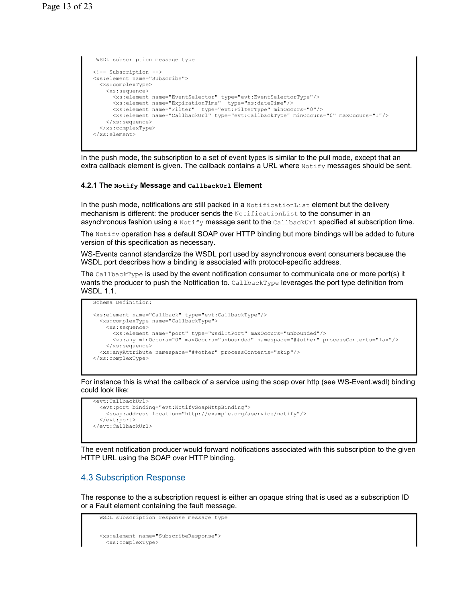```
 WSDL subscription message type 
<!-- Subscription --> 
<xs:element name="Subscribe"> 
  <xs:complexType> 
    <xs:sequence> 
 <xs:element name="EventSelector" type="evt:EventSelectorType"/> 
 <xs:element name="ExpirationTime" type="xs:dateTime"/> 
 <xs:element name="Filter" type="evt:FilterType" minOccurs="0"/> 
 <xs:element name="CallbackUrl" type="evt:CallbackType" minOccurs="0" maxOccurs="1"/> 
    </xs:sequence> 
  </xs:complexType> 
</xs:element>
```
In the push mode, the subscription to a set of event types is similar to the pull mode, except that an extra callback element is given. The callback contains a URL where  $\text{Notify}$  messages should be sent.

#### **4.2.1 The Notify Message and CallbackUrl Element**

In the push mode, notifications are still packed in a NotificationList element but the delivery mechanism is different: the producer sends the NotificationList to the consumer in an asynchronous fashion using a Notify message sent to the CallbackUrl specified at subscription time.

The Notify operation has a default SOAP over HTTP binding but more bindings will be added to future version of this specification as necessary.

WS-Events cannot standardize the WSDL port used by asynchronous event consumers because the WSDL port describes how a binding is associated with protocol-specific address.

The CallbackType is used by the event notification consumer to communicate one or more port(s) it wants the producer to push the Notification to. CallbackType leverages the port type definition from WSDL 1.1.

```
Schema Definition: 
<xs:element name="Callback" type="evt:CallbackType"/> 
   <xs:complexType name="CallbackType"> 
    <xs:sequence> 
       <xs:element name="port" type="wsdl:tPort" maxOccurs="unbounded"/> 
       <xs:any minOccurs="0" maxOccurs="unbounded" namespace="##other" processContents="lax"/> 
    </xs:sequence> 
   <xs:anyAttribute namespace="##other" processContents="skip"/> 
</xs:complexType>
```
For instance this is what the callback of a service using the soap over http (see WS-Event.wsdl) binding could look like:

```
<evt:CallbackUrl> 
   <evt:port binding="evt:NotifySoapHttpBinding"> 
     <soap:address location="http://example.org/aservice/notify"/> 
   </evt:port> 
</evt:CallbackUrl>
```
The event notification producer would forward notifications associated with this subscription to the given HTTP URL using the SOAP over HTTP binding.

#### 4.3 Subscription Response

The response to the a subscription request is either an opaque string that is used as a subscription ID or a Fault element containing the fault message.

```
 WSDL subscription response message type 
 <xs:element name="SubscribeResponse"> 
   <xs:complexType>
```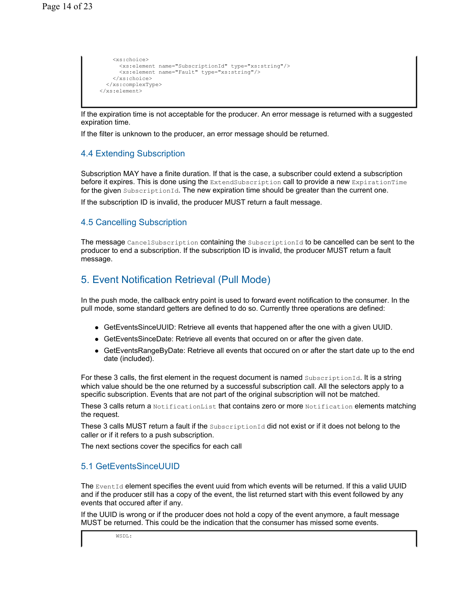```
 <xs:choice> 
       <xs:element name="SubscriptionId" type="xs:string"/> 
       <xs:element name="Fault" type="xs:string"/> 
     </xs:choice> 
   </xs:complexType> 
 </xs:element>
```
If the expiration time is not acceptable for the producer. An error message is returned with a suggested expiration time.

If the filter is unknown to the producer, an error message should be returned.

## 4.4 Extending Subscription

Subscription MAY have a finite duration. If that is the case, a subscriber could extend a subscription before it expires. This is done using the ExtendSubscription call to provide a new ExpirationTime for the given SubscriptionId. The new expiration time should be greater than the current one.

If the subscription ID is invalid, the producer MUST return a fault message.

## 4.5 Cancelling Subscription

The message CancelSubscription containing the SubscriptionId to be cancelled can be sent to the producer to end a subscription. If the subscription ID is invalid, the producer MUST return a fault message.

## 5. Event Notification Retrieval (Pull Mode)

In the push mode, the callback entry point is used to forward event notification to the consumer. In the pull mode, some standard getters are defined to do so. Currently three operations are defined:

- GetEventsSinceUUID: Retrieve all events that happened after the one with a given UUID.
- GetEventsSinceDate: Retrieve all events that occured on or after the given date.
- GetEventsRangeByDate: Retrieve all events that occured on or after the start date up to the end date (included).

For these 3 calls, the first element in the request document is named SubscriptionId. It is a string which value should be the one returned by a successful subscription call. All the selectors apply to a specific subscription. Events that are not part of the original subscription will not be matched.

These 3 calls return a NotificationList that contains zero or more Notification elements matching the request.

These 3 calls MUST return a fault if the SubscriptionId did not exist or if it does not belong to the caller or if it refers to a push subscription.

The next sections cover the specifics for each call

## 5.1 GetEventsSinceUUID

The EventId element specifies the event uuid from which events will be returned. If this a valid UUID and if the producer still has a copy of the event, the list returned start with this event followed by any events that occured after if any.

If the UUID is wrong or if the producer does not hold a copy of the event anymore, a fault message MUST be returned. This could be the indication that the consumer has missed some events.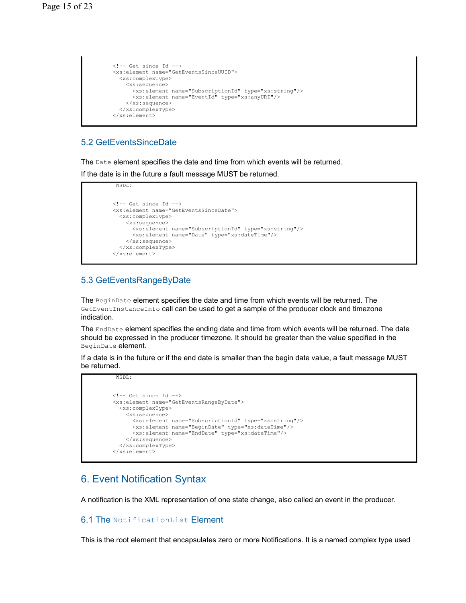```
\langle !-- Get since Id -->
 <xs:element name="GetEventsSinceUUID"> 
  <xs:complexType> 
    <xs:sequence> 
      <xs:element name="SubscriptionId" type="xs:string"/> 
       <xs:element name="EventId" type="xs:anyURI"/> 
     </xs:sequence> 
   </xs:complexType> 
 </xs:element>
```
## 5.2 GetEventsSinceDate

The Date element specifies the date and time from which events will be returned.

If the date is in the future a fault message MUST be returned.

```
 WSDL: 
\langle!-- Get since Id -->
 <xs:element name="GetEventsSinceDate"> 
   <xs:complexType> 
    <xs:sequence> 
      <xs:element name="SubscriptionId" type="xs:string"/> 
       <xs:element name="Date" type="xs:dateTime"/> 
     </xs:sequence> 
   </xs:complexType> 
 </xs:element>
```
## 5.3 GetEventsRangeByDate

WSDL:

The BeginDate element specifies the date and time from which events will be returned. The GetEventInstanceInfo call can be used to get a sample of the producer clock and timezone indication.

The EndDate element specifies the ending date and time from which events will be returned. The date should be expressed in the producer timezone. It should be greater than the value specified in the BeginDate element.

If a date is in the future or if the end date is smaller than the begin date value, a fault message MUST be returned.

```
\langle !-- Get since Id -->
      <xs:element name="GetEventsRangeByDate"> 
        <xs:complexType> 
          <xs:sequence> 
            <xs:element name="SubscriptionId" type="xs:string"/> 
 <xs:element name="BeginDate" type="xs:dateTime"/> 
 <xs:element name="EndDate" type="xs:dateTime"/> 
          </xs:sequence> 
        </xs:complexType> 
      </xs:element>
```
## 6. Event Notification Syntax

A notification is the XML representation of one state change, also called an event in the producer.

## 6.1 The NotificationList Element

This is the root element that encapsulates zero or more Notifications. It is a named complex type used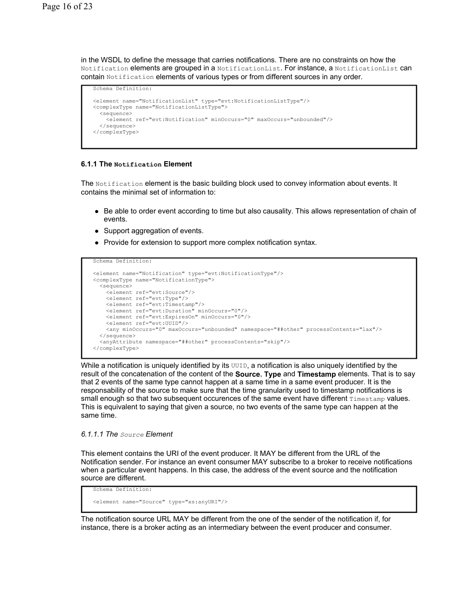in the WSDL to define the message that carries notifications. There are no constraints on how the Notification elements are grouped in a NotificationList. For instance, a NotificationList can contain Notification elements of various types or from different sources in any order.

```
Schema Definition: 
<element name="NotificationList" type="evt:NotificationListType"/> 
<complexType name="NotificationListType"> 
   <sequence> 
    <element ref="evt:Notification" minOccurs="0" maxOccurs="unbounded"/> 
   </sequence> 
</complexType>
```
#### **6.1.1 The Notification Element**

The Notification element is the basic building block used to convey information about events. It contains the minimal set of information to:

- Be able to order event according to time but also causality. This allows representation of chain of events.
- Support aggregation of events.
- Provide for extension to support more complex notification syntax.

```
Schema Definition: 
<element name="Notification" type="evt:NotificationType"/> 
<complexType name="NotificationType"> 
   <sequence> 
    <element ref="evt:Source"/> 
    <element ref="evt:Type"/> 
    <element ref="evt:Timestamp"/> 
    <element ref="evt:Duration" minOccurs="0"/> 
    <element ref="evt:ExpiresOn" minOccurs="0"/> 
    <element ref="evt:UUID"/> 
     <any minOccurs="0" maxOccurs="unbounded" namespace="##other" processContents="lax"/> 
   </sequence> 
   <anyAttribute namespace="##other" processContents="skip"/> 
</complexType>
```
While a notification is uniquely identified by its  $UUD$ , a notification is also uniquely identified by the result of the concatenation of the content of the **Source**, **Type** and **Timestamp** elements. That is to say that 2 events of the same type cannot happen at a same time in a same event producer. It is the responsability of the source to make sure that the time granularity used to timestamp notifications is small enough so that two subsequent occurences of the same event have different Timestamp values. This is equivalent to saying that given a source, no two events of the same type can happen at the same time.

#### *6.1.1.1 The Source Element*

This element contains the URI of the event producer. It MAY be different from the URL of the Notification sender. For instance an event consumer MAY subscribe to a broker to receive notifications when a particular event happens. In this case, the address of the event source and the notification source are different.

```
Schema Definition: 
<element name="Source" type="xs:anyURI"/>
```
The notification source URL MAY be different from the one of the sender of the notification if, for instance, there is a broker acting as an intermediary between the event producer and consumer.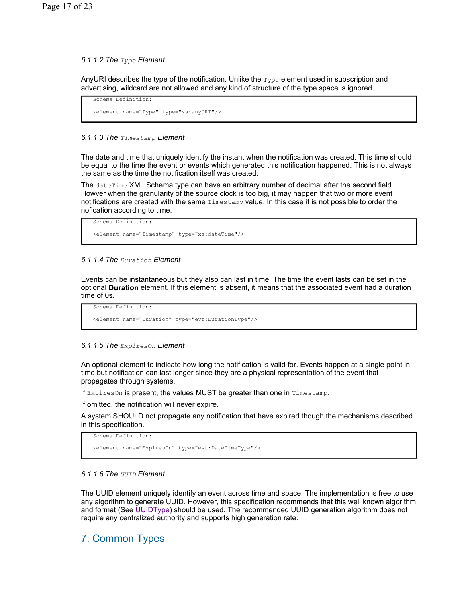### *6.1.1.2 The Type Element*

AnyURI describes the type of the notification. Unlike the  $_{\text{Type}}$  element used in subscription and advertising, wildcard are not allowed and any kind of structure of the type space is ignored.

```
Schema Definition: 
<element name="Type" type="xs:anyURI"/>
```
### *6.1.1.3 The Timestamp Element*

The date and time that uniquely identify the instant when the notification was created. This time should be equal to the time the event or events which generated this notification happened. This is not always the same as the time the notification itself was created.

The dateTime XML Schema type can have an arbitrary number of decimal after the second field. Howver when the granularity of the source clock is too big, it may happen that two or more event notifications are created with the same Timestamp value. In this case it is not possible to order the nofication according to time.

```
Schema Definition: 
<element name="Timestamp" type="xs:dateTime"/>
```
### *6.1.1.4 The Duration Element*

Events can be instantaneous but they also can last in time. The time the event lasts can be set in the optional **Duration** element. If this element is absent, it means that the associated event had a duration time of 0s.

```
Schema Definition: 
<element name="Duration" type="evt:DurationType"/>
```
#### *6.1.1.5 The ExpiresOn Element*

An optional element to indicate how long the notification is valid for. Events happen at a single point in time but notification can last longer since they are a physical representation of the event that propagates through systems.

If ExpiresOn is present, the values MUST be greater than one in Timestamp.

If omitted, the notification will never expire.

A system SHOULD not propagate any notification that have expired though the mechanisms described in this specification.

```
Schema Definition:
```
<element name="ExpiresOn" type="evt:DateTimeType"/>

#### *6.1.1.6 The UUID Element*

The UUID element uniquely identify an event across time and space. The implementation is free to use any algorithm to generate UUID. However, this specification recommends that this well known algorithm and format (See UUIDType) should be used. The recommended UUID generation algorithm does not require any centralized authority and supports high generation rate.

## 7. Common Types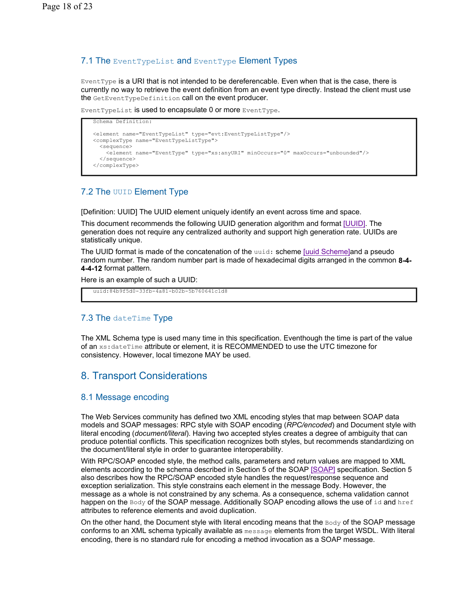## 7.1 The EventTypeList and EventType Element Types

EventType is a URI that is not intended to be dereferencable. Even when that is the case, there is currently no way to retrieve the event definition from an event type directly. Instead the client must use the GetEventTypeDefinition call on the event producer.

EventTypeList is used to encapsulate 0 or more EventType.

```
Schema Definition: 
<element name="EventTypeList" type="evt:EventTypeListType"/> 
<complexType name="EventTypeListType"> 
   <sequence> 
     <element name="EventType" type="xs:anyURI" minOccurs="0" maxOccurs="unbounded"/> 
   </sequence> 
</complexType>
```
## 7.2 The UUID Element Type

[Definition: UUID] The UUID element uniquely identify an event across time and space.

This document recommends the following UUID generation algorithm and format [UUID]. The generation does not require any centralized authority and support high generation rate. UUIDs are statistically unique.

The UUID format is made of the concatenation of the uuid: scheme [uuid Scheme]and a pseudo random number. The random number part is made of hexadecimal digits arranged in the common **8-4- 4-4-12** format pattern.

Here is an example of such a UUID:

uuid:84b9f5d0-33fb-4a81-b02b-5b760641c1d8

## 7.3 The dateTime Type

The XML Schema type is used many time in this specification. Eventhough the time is part of the value of an xs: dateTime attribute or element, it is RECOMMENDED to use the UTC timezone for consistency. However, local timezone MAY be used.

## 8. Transport Considerations

## 8.1 Message encoding

The Web Services community has defined two XML encoding styles that map between SOAP data models and SOAP messages: RPC style with SOAP encoding (*RPC/encoded*) and Document style with literal encoding (*document/literal*). Having two accepted styles creates a degree of ambiguity that can produce potential conflicts. This specification recognizes both styles, but recommends standardizing on the document/literal style in order to guarantee interoperability.

With RPC/SOAP encoded style, the method calls, parameters and return values are mapped to XML elements according to the schema described in Section 5 of the SOAP [SOAP] specification. Section 5 also describes how the RPC/SOAP encoded style handles the request/response sequence and exception serialization. This style constrains each element in the message Body. However, the message as a whole is not constrained by any schema. As a consequence, schema validation cannot happen on the  $Body$  of the SOAP message. Additionally SOAP encoding allows the use of  $id$  and href attributes to reference elements and avoid duplication.

On the other hand, the Document style with literal encoding means that the  $B_{\text{odd}}$  of the SOAP message conforms to an XML schema typically available as message elements from the target WSDL. With literal encoding, there is no standard rule for encoding a method invocation as a SOAP message.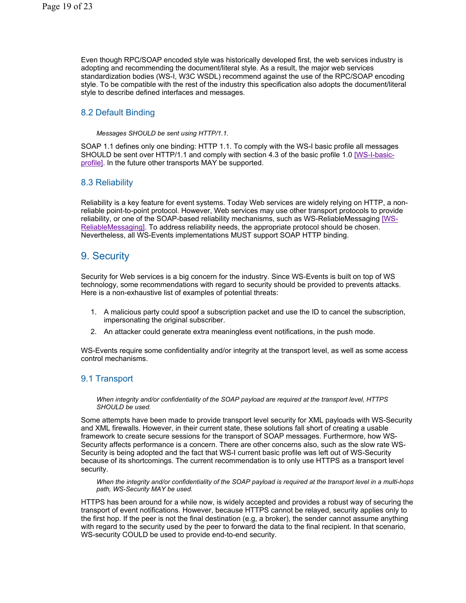Even though RPC/SOAP encoded style was historically developed first, the web services industry is adopting and recommending the document/literal style. As a result, the major web services standardization bodies (WS-I, W3C WSDL) recommend against the use of the RPC/SOAP encoding style. To be compatible with the rest of the industry this specification also adopts the document/literal style to describe defined interfaces and messages.

## 8.2 Default Binding

*Messages SHOULD be sent using HTTP/1.1.*

SOAP 1.1 defines only one binding: HTTP 1.1. To comply with the WS-I basic profile all messages SHOULD be sent over HTTP/1.1 and comply with section 4.3 of the basic profile 1.0 [WS-I-basicprofile]. In the future other transports MAY be supported.

## 8.3 Reliability

Reliability is a key feature for event systems. Today Web services are widely relying on HTTP, a nonreliable point-to-point protocol. However, Web services may use other transport protocols to provide reliability, or one of the SOAP-based reliability mechanisms, such as WS-ReliableMessaging [WS-ReliableMessaging]. To address reliability needs, the appropriate protocol should be chosen. Nevertheless, all WS-Events implementations MUST support SOAP HTTP binding.

## 9. Security

Security for Web services is a big concern for the industry. Since WS-Events is built on top of WS technology, some recommendations with regard to security should be provided to prevents attacks. Here is a non-exhaustive list of examples of potential threats:

- 1. A malicious party could spoof a subscription packet and use the ID to cancel the subscription, impersonating the original subscriber.
- 2. An attacker could generate extra meaningless event notifications, in the push mode.

WS-Events require some confidentiality and/or integrity at the transport level, as well as some access control mechanisms.

## 9.1 Transport

*When integrity and/or confidentiality of the SOAP payload are required at the transport level, HTTPS SHOULD be used.*

Some attempts have been made to provide transport level security for XML payloads with WS-Security and XML firewalls. However, in their current state, these solutions fall short of creating a usable framework to create secure sessions for the transport of SOAP messages. Furthermore, how WS-Security affects performance is a concern. There are other concerns also, such as the slow rate WS-Security is being adopted and the fact that WS-I current basic profile was left out of WS-Security because of its shortcomings. The current recommendation is to only use HTTPS as a transport level security.

*When the integrity and/or confidentiality of the SOAP payload is required at the transport level in a multi-hops path, WS-Security MAY be used.*

HTTPS has been around for a while now, is widely accepted and provides a robust way of securing the transport of event notifications. However, because HTTPS cannot be relayed, security applies only to the first hop. If the peer is not the final destination (e.g, a broker), the sender cannot assume anything with regard to the security used by the peer to forward the data to the final recipient. In that scenario, WS-security COULD be used to provide end-to-end security.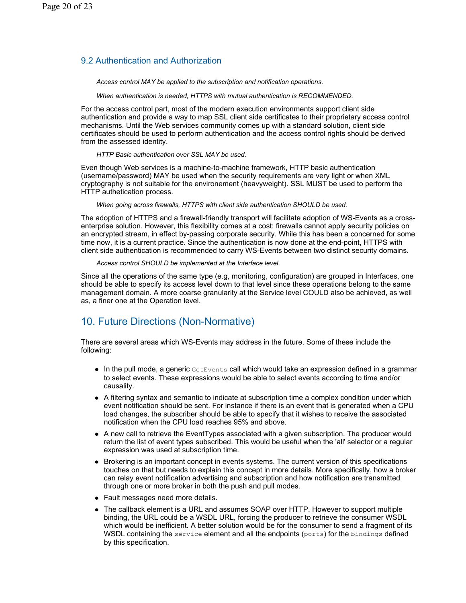## 9.2 Authentication and Authorization

*Access control MAY be applied to the subscription and notification operations.*

*When authentication is needed, HTTPS with mutual authentication is RECOMMENDED.*

For the access control part, most of the modern execution environments support client side authentication and provide a way to map SSL client side certificates to their proprietary access control mechanisms. Until the Web services community comes up with a standard solution, client side certificates should be used to perform authentication and the access control rights should be derived from the assessed identity.

*HTTP Basic authentication over SSL MAY be used.*

Even though Web services is a machine-to-machine framework, HTTP basic authentication (username/password) MAY be used when the security requirements are very light or when XML cryptography is not suitable for the environement (heavyweight). SSL MUST be used to perform the HTTP authetication process.

*When going across firewalls, HTTPS with client side authentication SHOULD be used.*

The adoption of HTTPS and a firewall-friendly transport will facilitate adoption of WS-Events as a crossenterprise solution. However, this flexibility comes at a cost: firewalls cannot apply security policies on an encrypted stream, in effect by-passing corporate security. While this has been a concerned for some time now, it is a current practice. Since the authentication is now done at the end-point, HTTPS with client side authentication is recommended to carry WS-Events between two distinct security domains.

*Access control SHOULD be implemented at the Interface level.*

Since all the operations of the same type (e.g, monitoring, configuration) are grouped in Interfaces, one should be able to specify its access level down to that level since these operations belong to the same management domain. A more coarse granularity at the Service level COULD also be achieved, as well as, a finer one at the Operation level.

## 10. Future Directions (Non-Normative)

There are several areas which WS-Events may address in the future. Some of these include the following:

- $\bullet$  In the pull mode, a generic GetEvents call which would take an expression defined in a grammar to select events. These expressions would be able to select events according to time and/or causality.
- A filtering syntax and semantic to indicate at subscription time a complex condition under which event notification should be sent. For instance if there is an event that is generated when a CPU load changes, the subscriber should be able to specify that it wishes to receive the associated notification when the CPU load reaches 95% and above.
- A new call to retrieve the EventTypes associated with a given subscription. The producer would return the list of event types subscribed. This would be useful when the 'all' selector or a regular expression was used at subscription time.
- Brokering is an important concept in events systems. The current version of this specifications touches on that but needs to explain this concept in more details. More specifically, how a broker can relay event notification advertising and subscription and how notification are transmitted through one or more broker in both the push and pull modes.
- Fault messages need more details.
- The callback element is a URL and assumes SOAP over HTTP. However to support multiple binding, the URL could be a WSDL URL, forcing the producer to retrieve the consumer WSDL which would be inefficient. A better solution would be for the consumer to send a fragment of its WSDL containing the service element and all the endpoints (ports) for the bindings defined by this specification.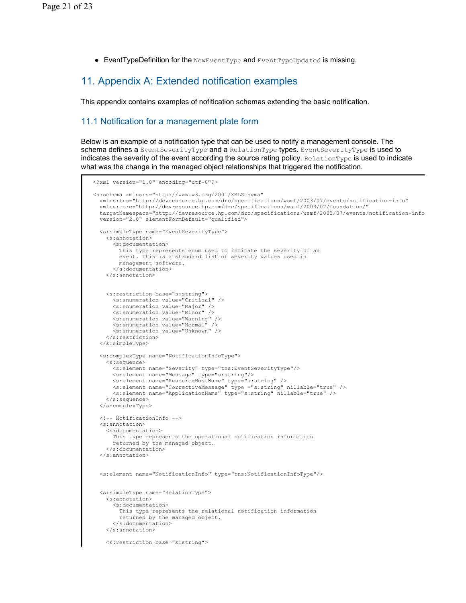$\bullet$  EventTypeDefinition for the NewEventType and EventTypeUpdated is missing.

## 11. Appendix A: Extended notification examples

This appendix contains examples of nofitication schemas extending the basic notification.

## 11.1 Notification for a management plate form

Below is an example of a notification type that can be used to notify a management console. The schema defines a EventSeverityType and a RelationType types. EventSeverityType is used to indicates the severity of the event according the source rating policy. RelationType is used to indicate what was the change in the managed object relationships that triggered the notification.

```
<?xml version="1.0" encoding="utf-8"?> 
<s:schema xmlns:s="http://www.w3.org/2001/XMLSchema" 
  xmlns:tns="http://devresource.hp.com/drc/specifications/wsmf/2003/07/events/notification-info" 
   xmlns:core="http://devresource.hp.com/drc/specifications/wsmf/2003/07/foundation/" 
   targetNamespace="http://devresource.hp.com/drc/specifications/wsmf/2003/07/events/notification-info
  version="2.0" elementFormDefault="qualified"> 
  <s:simpleType name="EventSeverityType"> 
    <s:annotation> 
       <s:documentation> 
        This type represents enum used to indicate the severity of an 
        event. This is a standard list of severity values used in 
         management software. 
       </s:documentation> 
    </s:annotation> 
    <s:restriction base="s:string"> 
      <s:enumeration value="Critical" /> 
      <s:enumeration value="Major" /> 
      <s:enumeration value="Minor" /> 
      <s:enumeration value="Warning" /> 
      <s:enumeration value="Normal" /> 
      <s:enumeration value="Unknown" /> 
     </s:restriction> 
   </s:simpleType> 
   <s:complexType name="NotificationInfoType"> 
    <s:sequence> 
      <s:element name="Severity" type="tns:EventSeverityType"/> 
      <s:element name="Message" type="s:string"/> 
 <s:element name="ResourceHostName" type="s:string" /> 
 <s:element name="CorrectiveMessage" type ="s:string" nillable="true" /> 
       <s:element name="ApplicationName" type="s:string" nillable="true" /> 
    </s:sequence> 
  </s:complexType> 
   <!-- NotificationInfo --> 
  <s:annotation> 
    <s:documentation> 
      This type represents the operational notification information 
      returned by the managed object. 
    </s:documentation> 
  </s:annotation> 
   <s:element name="NotificationInfo" type="tns:NotificationInfoType"/> 
  <s:simpleType name="RelationType"> 
    <s:annotation> 
      <s:documentation> 
        This type represents the relational notification information 
        returned by the managed object. 
      </s:documentation> 
     </s:annotation> 
     <s:restriction base="s:string">
```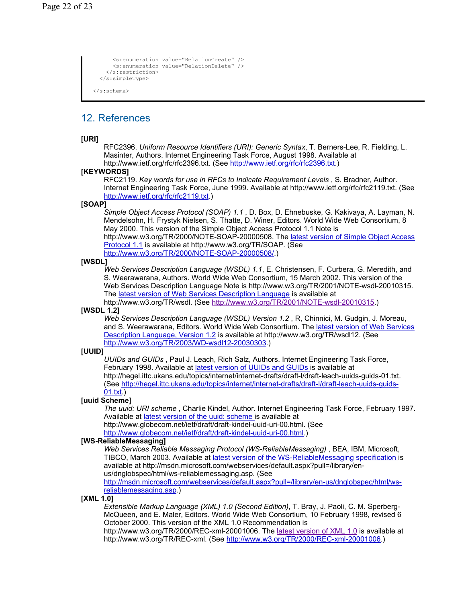```
 <s:enumeration value="RelationCreate" /> 
       <s:enumeration value="RelationDelete" /> 
    \langle/s:restriction>
   </s:simpleType> 
</s:schema>
```
## 12. References

### **[URI]**

RFC2396. *Uniform Resource Identifiers (URI): Generic Syntax*, T. Berners-Lee, R. Fielding, L. Masinter, Authors. Internet Engineering Task Force, August 1998. Available at http://www.ietf.org/rfc/rfc2396.txt. (See http://www.ietf.org/rfc/rfc2396.txt.)

### **[KEYWORDS]**

RFC2119. *Key words for use in RFCs to Indicate Requirement Levels* , S. Bradner, Author. Internet Engineering Task Force, June 1999. Available at http://www.ietf.org/rfc/rfc2119.txt. (See http://www.ietf.org/rfc/rfc2119.txt.)

### **[SOAP]**

*Simple Object Access Protocol (SOAP) 1.1* , D. Box, D. Ehnebuske, G. Kakivaya, A. Layman, N. Mendelsohn, H. Frystyk Nielsen, S. Thatte, D. Winer, Editors. World Wide Web Consortium, 8 May 2000. This version of the Simple Object Access Protocol 1.1 Note is

http://www.w3.org/TR/2000/NOTE-SOAP-20000508. The latest version of Simple Object Access Protocol 1.1 is available at http://www.w3.org/TR/SOAP. (See http://www.w3.org/TR/2000/NOTE-SOAP-20000508/.)

#### **[WSDL]**

*Web Services Description Language (WSDL) 1.1*, E. Christensen, F. Curbera, G. Meredith, and S. Weerawarana, Authors. World Wide Web Consortium, 15 March 2002. This version of the Web Services Description Language Note is http://www.w3.org/TR/2001/NOTE-wsdl-20010315. The latest version of Web Services Description Language is available at

http://www.w3.org/TR/wsdl. (See http://www.w3.org/TR/2001/NOTE-wsdl-20010315.) **[WSDL 1.2]** 

*Web Services Description Language (WSDL) Version 1.2* , R, Chinnici, M. Gudgin, J. Moreau, and S. Weerawarana, Editors. World Wide Web Consortium. The latest version of Web Services Description Language, Version 1.2 is available at http://www.w3.org/TR/wsdl12. (See http://www.w3.org/TR/2003/WD-wsdl12-20030303.)

#### **[UUID]**

*UUIDs and GUIDs* , Paul J. Leach, Rich Salz, Authors. Internet Engineering Task Force, February 1998. Available at latest version of UUIDs and GUIDs is available at http://hegel.ittc.ukans.edu/topics/internet/internet-drafts/draft-l/draft-leach-uuids-guids-01.txt. (See http://hegel.ittc.ukans.edu/topics/internet/internet-drafts/draft-l/draft-leach-uuids-guids-01.txt.)

#### **[uuid Scheme]**

*The uuid: URI scheme* , Charlie Kindel, Author. Internet Engineering Task Force, February 1997. Available at latest version of the uuid: scheme is available at

http://www.globecom.net/ietf/draft/draft-kindel-uuid-uri-00.html. (See

http://www.globecom.net/ietf/draft/draft-kindel-uuid-uri-00.html.)

#### **[WS-ReliableMessaging]**

*Web Services Reliable Messaging Protocol (WS-ReliableMessaging)* , BEA, IBM, Microsoft, TIBCO, March 2003. Available at latest version of the WS-ReliableMessaging specification is available at http://msdn.microsoft.com/webservices/default.aspx?pull=/library/enus/dnglobspec/html/ws-reliablemessaging.asp. (See

http://msdn.microsoft.com/webservices/default.aspx?pull=/library/en-us/dnglobspec/html/wsreliablemessaging.asp.)

#### **[XML 1.0]**

*Extensible Markup Language (XML) 1.0 (Second Edition)*, T. Bray, J. Paoli, C. M. Sperberg-McQueen, and E. Maler, Editors. World Wide Web Consortium, 10 February 1998, revised 6 October 2000. This version of the XML 1.0 Recommendation is

http://www.w3.org/TR/2000/REC-xml-20001006. The latest version of XML 1.0 is available at http://www.w3.org/TR/REC-xml. (See http://www.w3.org/TR/2000/REC-xml-20001006.)